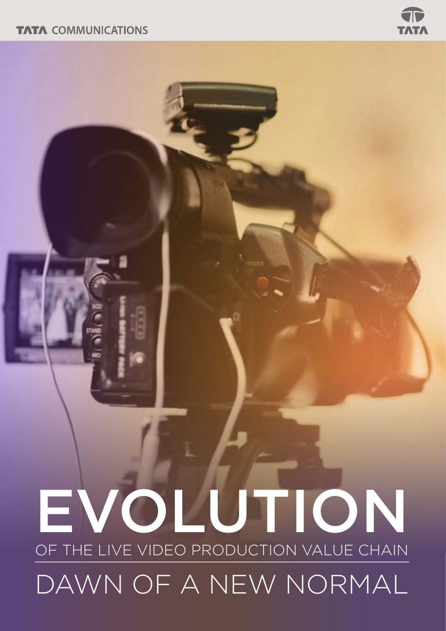### **TATA COMMUNICATIONS**



# OF THE LIVE VIDEO PRODUCTION VALUE CHAIN EVOLUTION

## DAWN OF A NEW NORMAL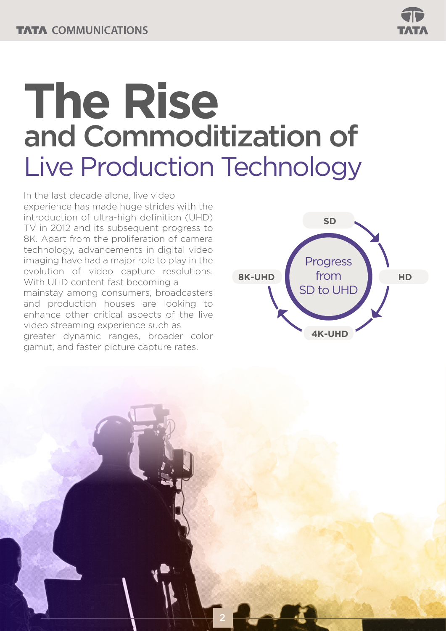## **The Rise** and Commoditization of Live Production Technology

2

In the last decade alone, live video experience has made huge strides with the introduction of ultra-high definition (UHD) TV in 2012 and its subsequent progress to 8K. Apart from the proliferation of camera technology, advancements in digital video imaging have had a major role to play in the evolution of video capture resolutions. With UHD content fast becoming a mainstay among consumers, broadcasters and production houses are looking to enhance other critical aspects of the live video streaming experience such as greater dynamic ranges, broader color gamut, and faster picture capture rates.

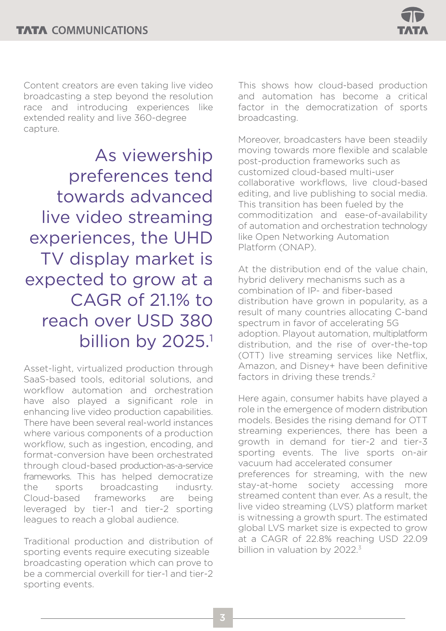

Content creators are even taking live video broadcasting a step beyond the resolution race and introducing experiences like extended reality and live 360-degree capture.

As viewership preferences tend towards advanced live video streaming experiences, the UHD TV display market is expected to grow at a CAGR of 21.1% to reach over USD 380 billion by 2025.<sup>1</sup>

Asset-light, virtualized production through SaaS-based tools, editorial solutions, and workflow automation and orchestration have also played a significant role in enhancing live video production capabilities. There have been several real-world instances where various components of a production workflow, such as ingestion, encoding, and format-conversion have been orchestrated through cloud-based production-as-a-service frameworks. This has helped democratize the sports broadcasting indusrty. Cloud-based frameworks are being leveraged by tier-1 and tier-2 sporting leagues to reach a global audience.

Traditional production and distribution of sporting events require executing sizeable broadcasting operation which can prove to be a commercial overkill for tier-1 and tier-2 sporting events.

This shows how cloud-based production and automation has become a critical factor in the democratization of sports broadcasting.

Moreover, broadcasters have been steadily moving towards more flexible and scalable post-production frameworks such as customized cloud-based multi-user collaborative workflows, live cloud-based editing, and live publishing to social media. This transition has been fueled by the commoditization and ease-of-availability of automation and orchestration technology like Open Networking Automation Platform (ONAP).

At the distribution end of the value chain, hybrid delivery mechanisms such as a combination of IP- and fiber-based distribution have grown in popularity, as a result of many countries allocating C-band spectrum in favor of accelerating 5G adoption. Playout automation, multiplatform distribution, and the rise of over-the-top (OTT) live streaming services like Netflix, Amazon, and Disney+ have been definitive factors in driving these trends.<sup>2</sup>

Here again, consumer habits have played a role in the emergence of modern distribution models. Besides the rising demand for OTT streaming experiences, there has been a growth in demand for tier-2 and tier-3 sporting events. The live sports on-air vacuum had accelerated consumer preferences for streaming, with the new stay-at-home society accessing more streamed content than ever. As a result, the live video streaming (LVS) platform market is witnessing a growth spurt. The estimated global LVS market size is expected to grow at a CAGR of 22.8% reaching USD 22.09 billion in valuation by 2022.<sup>3</sup>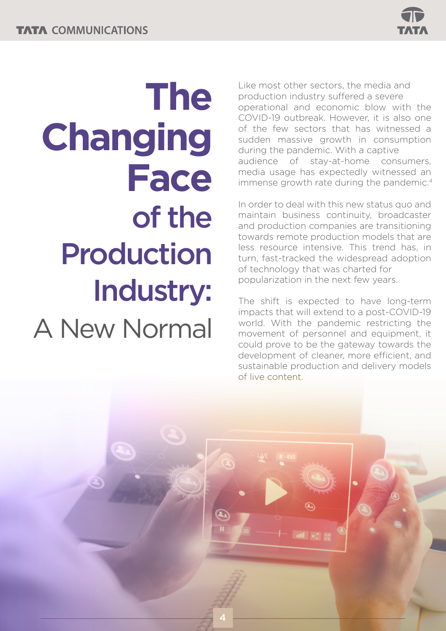

## **The Changing Face** of the Production Industry: A New Normal

Like most other sectors, the media and production industry suffered a severe operational and economic blow with the COVID-19 outbreak. However, it is also one of the few sectors that has witnessed a sudden massive growth in consumption during the pandemic. With a captive audience of stay-at-home consumers, media usage has expectedly witnessed an immense growth rate during the pandemic.<sup>4</sup>

In order to deal with this new status quo and maintain business continuity, broadcaster and production companies are transitioning towards remote production models that are less resource intensive. This trend has, in turn, fast-tracked the widespread adoption of technology that was charted for popularization in the next few years.

The shift is expected to have long-term impacts that will extend to a post-COVID-19 world. With the pandemic restricting the movement of personnel and equipment, it could prove to be the gateway towards the development of cleaner, more efficient, and sustainable production and delivery models of live content.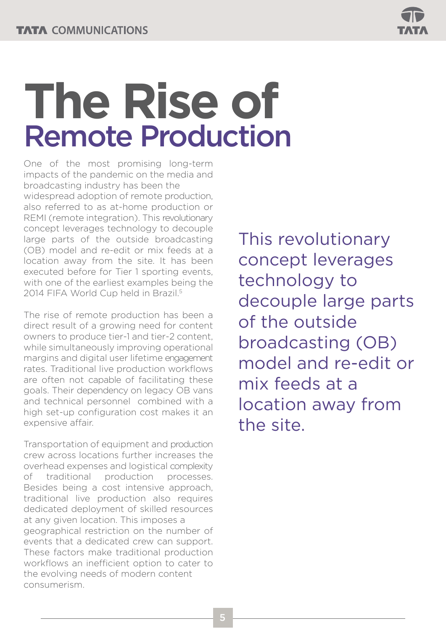

## **The Rise of** Remote Production

One of the most promising long-term impacts of the pandemic on the media and broadcasting industry has been the widespread adoption of remote production, also referred to as at-home production or REMI (remote integration). This revolutionary concept leverages technology to decouple large parts of the outside broadcasting (OB) model and re-edit or mix feeds at a location away from the site. It has been executed before for Tier 1 sporting events, with one of the earliest examples being the 2014 FIFA World Cup held in Brazil.5

The rise of remote production has been a direct result of a growing need for content owners to produce tier-1 and tier-2 content, while simultaneously improving operational margins and digital user lifetime engagement rates. Traditional live production workflows are often not capable of facilitating these goals. Their dependency on legacy OB vans and technical personnel combined with a high set-up configuration cost makes it an expensive affair.

Transportation of equipment and production crew across locations further increases the overhead expenses and logistical complexity of traditional production processes. Besides being a cost intensive approach, traditional live production also requires dedicated deployment of skilled resources at any given location. This imposes a geographical restriction on the number of events that a dedicated crew can support. These factors make traditional production workflows an inefficient option to cater to the evolving needs of modern content consumerism.

This revolutionary concept leverages technology to decouple large parts of the outside broadcasting (OB) model and re-edit or mix feeds at a location away from the site.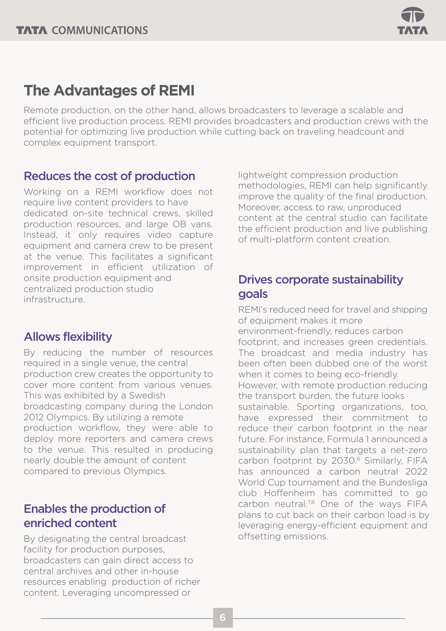

## **The Advantages of REMI**

Remote production, on the other hand, allows broadcasters to leverage a scalable and efficient live production process. REMI provides broadcasters and production crews with the potential for optimizing live production while cutting back on traveling headcount and complex equipment transport.

### Reduces the cost of production

Working on a REMI workflow does not require live content providers to have dedicated on-site technical crews, skilled production resources, and large OB vans. Instead, it only requires video capture equipment and camera crew to be present at the venue. This facilitates a significant improvement in efficient utilization of onsite production equipment and centralized production studio infrastructure.

### Allows flexibility

By reducing the number of resources required in a single venue, the central production crew creates the opportunity to cover more content from various venues. This was exhibited by a Swedish broadcasting company during the London 2012 Olympics. By utilizing a remote production workflow, they were able to deploy more reporters and camera crews to the venue. This resulted in producing nearly double the amount of content compared to previous Olympics.

### Enables the production of enriched content

By designating the central broadcast facility for production purposes, broadcasters can gain direct access to central archives and other in-house resources enabling production of richer content. Leveraging uncompressed or

lightweight compression production methodologies, REMI can help significantly improve the quality of the final production. Moreover, access to raw, unproduced content at the central studio can facilitate the efficient production and live publishing of multi-platform content creation.

### Drives corporate sustainability goals

REMI's reduced need for travel and shipping of equipment makes it more environment-friendly, reduces carbon footprint, and increases green credentials. The broadcast and media industry has been often been dubbed one of the worst when it comes to being eco-friendly. However, with remote production reducing the transport burden, the future looks sustainable. Sporting organizations, too, have expressed their commitment to reduce their carbon footprint in the near future. For instance, Formula 1 announced a sustainability plan that targets a net-zero carbon footprint by 2030.<sup>6</sup> Similarly, FIFA has announced a carbon neutral 2022 World Cup tournament and the Bundesliga club Hoffenheim has committed to go carbon neutral.<sup>7,8</sup> One of the ways FIFA plans to cut back on their carbon load is by leveraging energy-efficient equipment and offsetting emissions.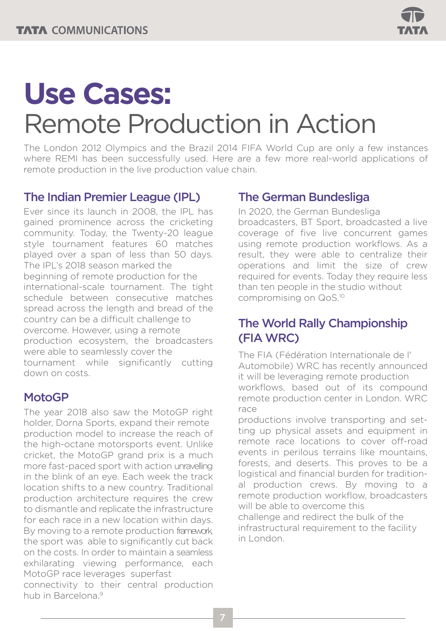

## **Use Cases:** Remote Production in Action

The London 2012 Olympics and the Brazil 2014 FIFA World Cup are only a few instances where REMI has been successfully used. Here are a few more real-world applications of remote production in the live production value chain.

#### The Indian Premier League (IPL)

Ever since its launch in 2008, the IPL has gained prominence across the cricketing community. Today, the Twenty-20 league style tournament features 60 matches played over a span of less than 50 days. The IPL's 2018 season marked the beginning of remote production for the international-scale tournament. The tight schedule between consecutive matches spread across the length and bread of the country can be a difficult challenge to overcome. However, using a remote production ecosystem, the broadcasters were able to seamlessly cover the tournament while significantly cutting down on costs.

#### **MotoGP**

The year 2018 also saw the MotoGP right holder, Dorna Sports, expand their remote production model to increase the reach of the high-octane motorsports event. Unlike cricket, the MotoGP grand prix is a much more fast-paced sport with action unravelling in the blink of an eye. Each week the track location shifts to a new country. Traditional production architecture requires the crew to dismantle and replicate the infrastructure for each race in a new location within days. By moving to a remote production framework, the sport was able to significantly cut back on the costs. In order to maintain a seamless exhilarating viewing performance, each MotoGP race leverages superfast connectivity to their central production hub in Barcelona<sup>9</sup>

### The German Bundesliga

In 2020, the German Bundesliga broadcasters, BT Sport, broadcasted a live coverage of five live concurrent games using remote production workflows. As a result, they were able to centralize their operations and limit the size of crew required for events. Today they require less than ten people in the studio without compromising on QoS.10

### The World Rally Championship (FIA WRC)

The FIA (Fédération Internationale de l' Automobile) WRC has recently announced it will be leveraging remote production workflows, based out of its compound remote production center in London. WRC race

productions involve transporting and setting up physical assets and equipment in remote race locations to cover off-road events in perilous terrains like mountains, forests, and deserts. This proves to be a logistical and financial burden for traditional production crews. By moving to a remote production workflow, broadcasters will be able to overcome this challenge and redirect the bulk of the

infrastructural requirement to the facility in London.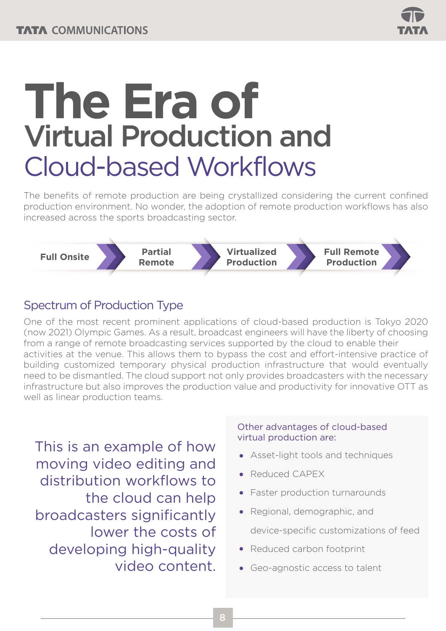

## **The Era of** Virtual Production and Cloud-based Workflows

The benefits of remote production are being crystallized considering the current confined production environment. No wonder, the adoption of remote production workflows has also increased across the sports broadcasting sector.



## Spectrum of Production Type

One of the most recent prominent applications of cloud-based production is Tokyo 2020 (now 2021) Olympic Games. As a result, broadcast engineers will have the liberty of choosing from a range of remote broadcasting services supported by the cloud to enable their activities at the venue. This allows them to bypass the cost and effort-intensive practice of building customized temporary physical production infrastructure that would eventually need to be dismantled. The cloud support not only provides broadcasters with the necessary infrastructure but also improves the production value and productivity for innovative OTT as well as linear production teams.

This is an example of how moving video editing and distribution workflows to the cloud can help broadcasters significantly lower the costs of developing high-quality video content.

#### Other advantages of cloud-based virtual production are:

- Asset-light tools and techniques
- Reduced CAPEX
- Faster production turnarounds
- Regional, demographic, and device-specific customizations of feed
- Reduced carbon footprint
- Geo-agnostic access to talent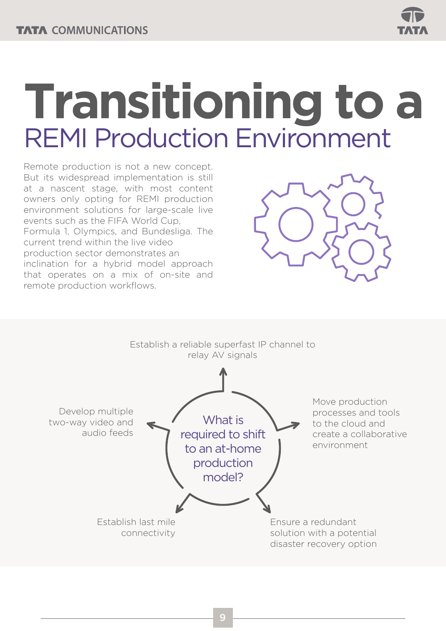

## **Transitioning to a**  REMI Production Environment

Remote production is not a new concept. But its widespread implementation is still at a nascent stage, with most content owners only opting for REMI production environment solutions for large-scale live events such as the FIFA World Cup, Formula 1, Olympics, and Bundesliga. The current trend within the live video production sector demonstrates an inclination for a hybrid model approach that operates on a mix of on-site and remote production workflows.



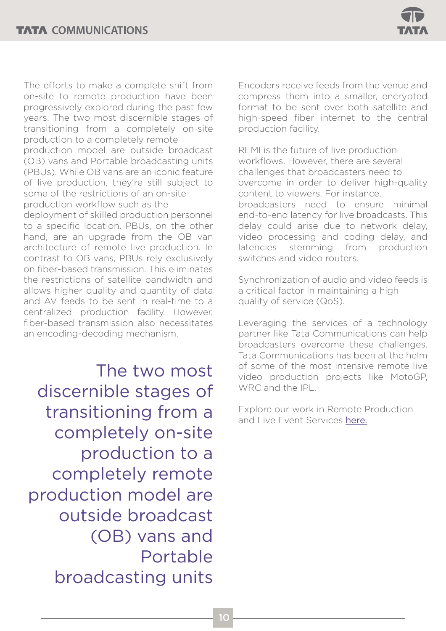

The efforts to make a complete shift from on-site to remote production have been progressively explored during the past few years. The two most discernible stages of transitioning from a completely on-site production to a completely remote production model are outside broadcast (OB) vans and Portable broadcasting units (PBUs). While OB vans are an iconic feature of live production, they're still subject to some of the restrictions of an on-site production workflow such as the deployment of skilled production personnel to a specific location. PBUs, on the other hand, are an upgrade from the OB van architecture of remote live production. In contrast to OB vans, PBUs rely exclusively on fiber-based transmission. This eliminates the restrictions of satellite bandwidth and allows higher quality and quantity of data and AV feeds to be sent in real-time to a centralized production facility. However, fiber-based transmission also necessitates an encoding-decoding mechanism.

The two most discernible stages of transitioning from a completely on-site production to a completely remote production model are outside broadcast (OB) vans and Portable broadcasting units

Encoders receive feeds from the venue and compress them into a smaller, encrypted format to be sent over both satellite and high-speed fiber internet to the central production facility.

REMI is the future of live production workflows. However, there are several challenges that broadcasters need to overcome in order to deliver high-quality content to viewers. For instance, broadcasters need to ensure minimal end-to-end latency for live broadcasts. This delay could arise due to network delay, video processing and coding delay, and latencies stemming from production switches and video routers.

Synchronization of audio and video feeds is a critical factor in maintaining a high quality of service (QoS).

Leveraging the services of a technology partner like Tata Communications can help broadcasters overcome these challenges. Tata Communications has been at the helm of some of the most intensive remote live video production projects like MotoGP, WRC and the IPL.

Explore our work in Remote Production and Live Event Services [here.](https://www.tatacommunications.com/solutions/media-entertainment/live-event-services/remote-production/)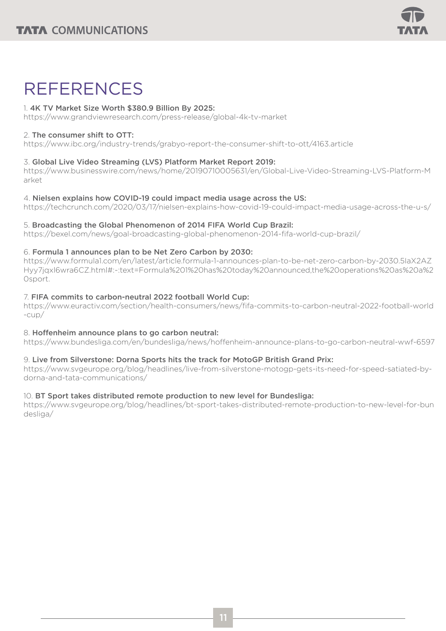

## REFERENCES

#### 1. 4K TV Market Size Worth \$380.9 Billion By 2025:

<https://www.grandviewresearch.com/press-release/global-4k-tv-market>

#### 2. The consumer shift to OTT:

<https://www.ibc.org/industry-trends/grabyo-report-the-consumer-shift-to-ott/4163.article>

#### 3. Global Live Video Streaming (LVS) Platform Market Report 2019:

[https://www.businesswire.com/news/home/20190710005631/en/Global-Live-Video-Streaming-LVS-Platform-M](https://www.businesswire.com/news/home/20190710005631/en/Global-Live-Video-Streaming-) arket

#### 4. Nielsen explains how COVID-19 could impact media usage across the US:

[https://techcrunch.com/2020/03/17/nielsen-explains-how-covid-19-could-impact-media-usage-across-the-u-s/](https://techcrunch.com/2020/03/17/nielsen-explains-how-covid-19-could-impact-media-usage-)

#### 5. Broadcasting the Global Phenomenon of 2014 FIFA World Cup Brazil:

<https://bexel.com/news/goal-broadcasting-global-phenomenon-2014-fifa-world-cup-brazil/>

#### 6. Formula 1 announces plan to be Net Zero Carbon by 2030:

https://www.formula1.com/en/latest/article.formula-1-announces-plan-to-be-net-zero-carbon-by-2030.5IaX2AZ [Hyy7jqxl6wra6CZ.html#:~:text=Formula%201%20has%20today%20announced,the%20operations%20as%20a%2](https://www.formula1.com/en/latest/article.formula-1-announces-plan-to-be-net-zero-carbon-by-) 0sport.

#### 7. FIFA commits to carbon-neutral 2022 football World Cup:

[https://www.euractiv.com/section/health-consumers/news/fifa-commits-to-carbon-neutral-2022-football-world](https://www.euractiv.com/section/health-consumers/news/fifa-commits-to-carbon-neutral-2022-) -cup/

#### 8. Hoffenheim announce plans to go carbon neutral:

[https://www.bundesliga.com/en/bundesliga/news/hoffenheim-announce-plans-to-go-carbon-neutral-wwf-6597](https://www.bundesliga.com/en/bundesliga/news/hoffenheim-announce-plans-to-go-carbon-)

#### 9. Live from Silverstone: Dorna Sports hits the track for MotoGP British Grand Prix:

[https://www.svgeurope.org/blog/headlines/live-from-silverstone-motogp-gets-its-need-for-speed-satiated-by](https://www.svgeurope.org/blog/headlines/live-from-silverstone-motogp-gets-its-need-for-speed-)dorna-and-tata-communications/

#### 10. BT Sport takes distributed remote production to new level for Bundesliga:

[https://www.svgeurope.org/blog/headlines/bt-sport-takes-distributed-remote-production-to-new-level-for-bun](https://www.svgeurope.org/blog/headlines/bt-sport-takes-distributed-remote-production-to-new-) desliga/